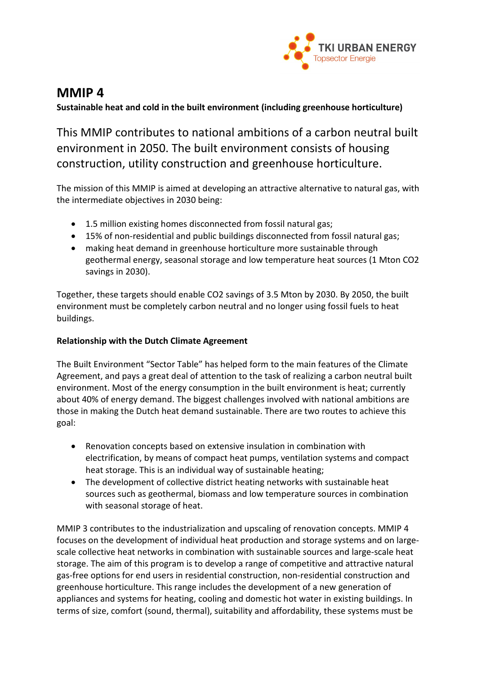

## **MMIP 4**

## **Sustainable heat and cold in the built environment (including greenhouse horticulture)**

This MMIP contributes to national ambitions of a carbon neutral built environment in 2050. The built environment consists of housing construction, utility construction and greenhouse horticulture.

The mission of this MMIP is aimed at developing an attractive alternative to natural gas, with the intermediate objectives in 2030 being:

- 1.5 million existing homes disconnected from fossil natural gas;
- 15% of non-residential and public buildings disconnected from fossil natural gas;
- making heat demand in greenhouse horticulture more sustainable through geothermal energy, seasonal storage and low temperature heat sources (1 Mton CO2 savings in 2030).

Together, these targets should enable CO2 savings of 3.5 Mton by 2030. By 2050, the built environment must be completely carbon neutral and no longer using fossil fuels to heat buildings.

## **Relationship with the Dutch Climate Agreement**

The Built Environment "Sector Table" has helped form to the main features of the Climate Agreement, and pays a great deal of attention to the task of realizing a carbon neutral built environment. Most of the energy consumption in the built environment is heat; currently about 40% of energy demand. The biggest challenges involved with national ambitions are those in making the Dutch heat demand sustainable. There are two routes to achieve this goal:

- Renovation concepts based on extensive insulation in combination with electrification, by means of compact heat pumps, ventilation systems and compact heat storage. This is an individual way of sustainable heating;
- The development of collective district heating networks with sustainable heat sources such as geothermal, biomass and low temperature sources in combination with seasonal storage of heat.

MMIP 3 contributes to the industrialization and upscaling of renovation concepts. MMIP 4 focuses on the development of individual heat production and storage systems and on largescale collective heat networks in combination with sustainable sources and large-scale heat storage. The aim of this program is to develop a range of competitive and attractive natural gas-free options for end users in residential construction, non-residential construction and greenhouse horticulture. This range includes the development of a new generation of appliances and systems for heating, cooling and domestic hot water in existing buildings. In terms of size, comfort (sound, thermal), suitability and affordability, these systems must be